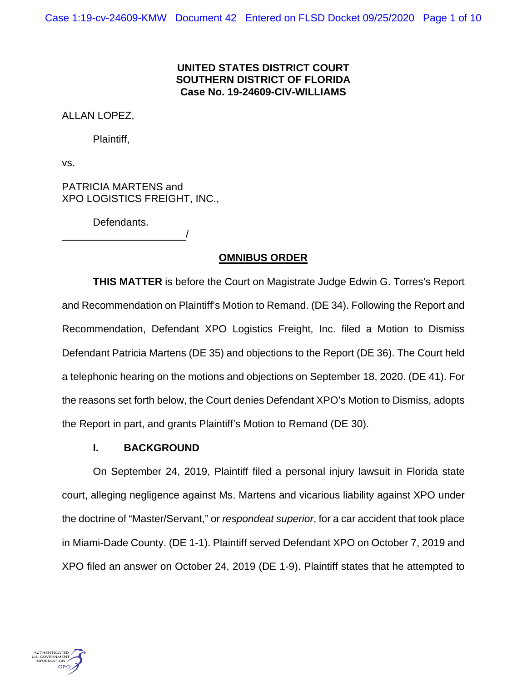## **UNITED STATES DISTRICT COURT SOUTHERN DISTRICT OF FLORIDA Case No. 19-24609-CIV-WILLIAMS**

ALLAN LOPEZ,

Plaintiff,

vs.

PATRICIA MARTENS and XPO LOGISTICS FREIGHT, INC.,

/

Defendants.

# **OMNIBUS ORDER**

**THIS MATTER** is before the Court on Magistrate Judge Edwin G. Torres's Report and Recommendation on Plaintiff's Motion to Remand. (DE 34). Following the Report and Recommendation, Defendant XPO Logistics Freight, Inc. filed a Motion to Dismiss Defendant Patricia Martens (DE 35) and objections to the Report (DE 36). The Court held a telephonic hearing on the motions and objections on September 18, 2020. (DE 41). For the reasons set forth below, the Court denies Defendant XPO's Motion to Dismiss, adopts the Report in part, and grants Plaintiff's Motion to Remand (DE 30).

# **I. BACKGROUND**

On September 24, 2019, Plaintiff filed a personal injury lawsuit in Florida state court, alleging negligence against Ms. Martens and vicarious liability against XPO under the doctrine of "Master/Servant," or *respondeat superior*, for a car accident that took place in Miami-Dade County. (DE 1-1). Plaintiff served Defendant XPO on October 7, 2019 and XPO filed an answer on October 24, 2019 (DE 1-9). Plaintiff states that he attempted to

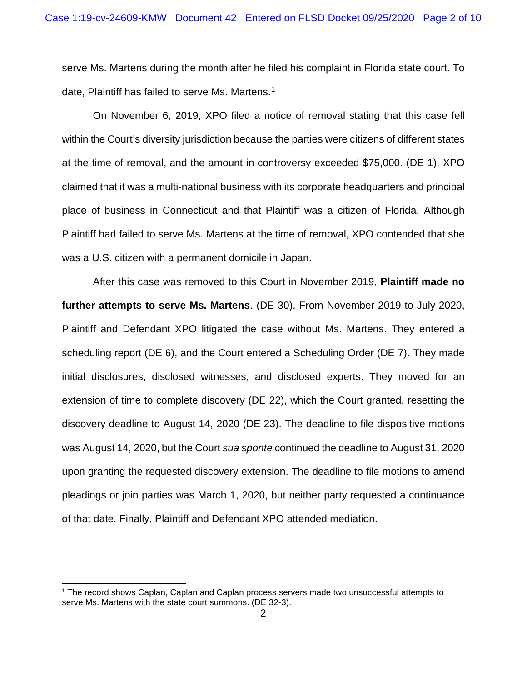serve Ms. Martens during the month after he filed his complaint in Florida state court. To date, Plaintiff has failed to serve Ms. Martens.<sup>[1](#page-1-0)</sup>

On November 6, 2019, XPO filed a notice of removal stating that this case fell within the Court's diversity jurisdiction because the parties were citizens of different states at the time of removal, and the amount in controversy exceeded \$75,000. (DE 1). XPO claimed that it was a multi-national business with its corporate headquarters and principal place of business in Connecticut and that Plaintiff was a citizen of Florida. Although Plaintiff had failed to serve Ms. Martens at the time of removal, XPO contended that she was a U.S. citizen with a permanent domicile in Japan.

After this case was removed to this Court in November 2019, **Plaintiff made no further attempts to serve Ms. Martens**. (DE 30). From November 2019 to July 2020, Plaintiff and Defendant XPO litigated the case without Ms. Martens. They entered a scheduling report (DE 6), and the Court entered a Scheduling Order (DE 7). They made initial disclosures, disclosed witnesses, and disclosed experts. They moved for an extension of time to complete discovery (DE 22), which the Court granted, resetting the discovery deadline to August 14, 2020 (DE 23). The deadline to file dispositive motions was August 14, 2020, but the Court *sua sponte* continued the deadline to August 31, 2020 upon granting the requested discovery extension. The deadline to file motions to amend pleadings or join parties was March 1, 2020, but neither party requested a continuance of that date. Finally, Plaintiff and Defendant XPO attended mediation.

<span id="page-1-0"></span><sup>&</sup>lt;sup>1</sup> The record shows Caplan, Caplan and Caplan process servers made two unsuccessful attempts to serve Ms. Martens with the state court summons. (DE 32-3).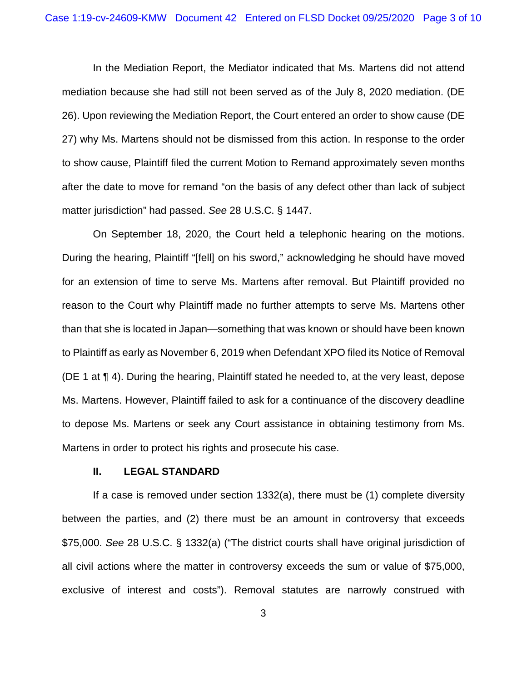In the Mediation Report, the Mediator indicated that Ms. Martens did not attend mediation because she had still not been served as of the July 8, 2020 mediation. (DE 26). Upon reviewing the Mediation Report, the Court entered an order to show cause (DE 27) why Ms. Martens should not be dismissed from this action. In response to the order to show cause, Plaintiff filed the current Motion to Remand approximately seven months after the date to move for remand "on the basis of any defect other than lack of subject matter jurisdiction" had passed. *See* 28 U.S.C. § 1447.

On September 18, 2020, the Court held a telephonic hearing on the motions. During the hearing, Plaintiff "[fell] on his sword," acknowledging he should have moved for an extension of time to serve Ms. Martens after removal. But Plaintiff provided no reason to the Court why Plaintiff made no further attempts to serve Ms. Martens other than that she is located in Japan—something that was known or should have been known to Plaintiff as early as November 6, 2019 when Defendant XPO filed its Notice of Removal (DE 1 at ¶ 4). During the hearing, Plaintiff stated he needed to, at the very least, depose Ms. Martens. However, Plaintiff failed to ask for a continuance of the discovery deadline to depose Ms. Martens or seek any Court assistance in obtaining testimony from Ms. Martens in order to protect his rights and prosecute his case.

### **II. LEGAL STANDARD**

If a case is removed under section 1332(a), there must be (1) complete diversity between the parties, and (2) there must be an amount in controversy that exceeds \$75,000. *See* 28 U.S.C. § 1332(a) ("The district courts shall have original jurisdiction of all civil actions where the matter in controversy exceeds the sum or value of \$75,000, exclusive of interest and costs"). Removal statutes are narrowly construed with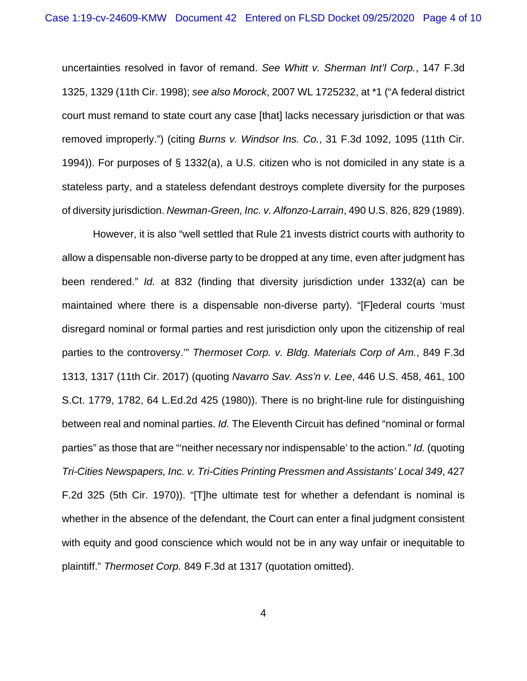uncertainties resolved in favor of remand. *See Whitt v. Sherman Int'l Corp.*, 147 F.3d 1325, 1329 (11th Cir. 1998); *see also Morock*, 2007 WL 1725232, at \*1 ("A federal district court must remand to state court any case [that] lacks necessary jurisdiction or that was removed improperly.") (citing *Burns v. Windsor Ins. Co.*, 31 F.3d 1092, 1095 (11th Cir. 1994)). For purposes of § 1332(a), a U.S. citizen who is not domiciled in any state is a stateless party, and a stateless defendant destroys complete diversity for the purposes of diversity jurisdiction. *Newman-Green, Inc. v. Alfonzo-Larrain*, 490 U.S. 826, 829 (1989).

However, it is also "well settled that Rule 21 invests district courts with authority to allow a dispensable non-diverse party to be dropped at any time, even after judgment has been rendered." *Id.* at 832 (finding that diversity jurisdiction under 1332(a) can be maintained where there is a dispensable non-diverse party). "[F]ederal courts 'must disregard nominal or formal parties and rest jurisdiction only upon the citizenship of real parties to the controversy.'" *Thermoset Corp. v. Bldg. Materials Corp of Am.*, 849 F.3d 1313, 1317 (11th Cir. 2017) (quoting *Navarro Sav. Ass'n v. Lee*, 446 U.S. 458, 461, 100 S.Ct. 1779, 1782, 64 L.Ed.2d 425 (1980)). There is no bright-line rule for distinguishing between real and nominal parties. *Id.* The Eleventh Circuit has defined "nominal or formal parties" as those that are "'neither necessary nor indispensable' to the action." *Id.* (quoting *Tri-Cities Newspapers, Inc. v. Tri-Cities Printing Pressmen and Assistants' Local 349*, 427 F.2d 325 (5th Cir. 1970)). "[T]he ultimate test for whether a defendant is nominal is whether in the absence of the defendant, the Court can enter a final judgment consistent with equity and good conscience which would not be in any way unfair or inequitable to plaintiff." *Thermoset Corp.* 849 F.3d at 1317 (quotation omitted).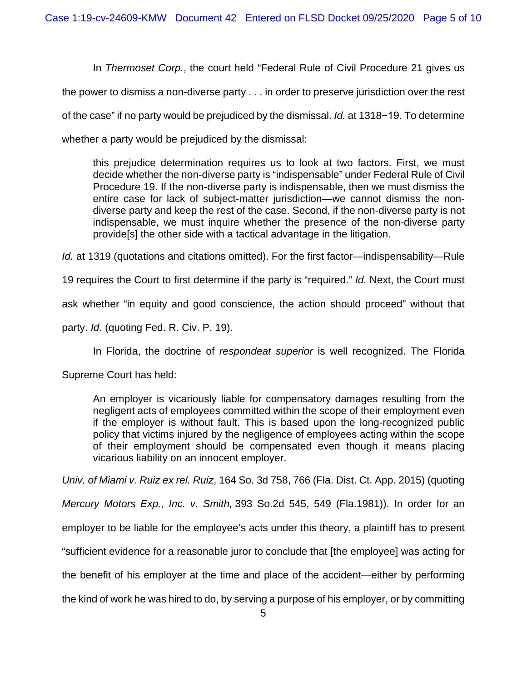In *Thermoset Corp.*, the court held "Federal Rule of Civil Procedure 21 gives us the power to dismiss a non-diverse party . . . in order to preserve jurisdiction over the rest of the case" if no party would be prejudiced by the dismissal. *Id.* at 1318−19. To determine whether a party would be prejudiced by the dismissal:

this prejudice determination requires us to look at two factors. First, we must decide whether the non-diverse party is "indispensable" under Federal Rule of Civil Procedure 19. If the non-diverse party is indispensable, then we must dismiss the entire case for lack of subject-matter jurisdiction—we cannot dismiss the nondiverse party and keep the rest of the case. Second, if the non-diverse party is not indispensable, we must inquire whether the presence of the non-diverse party provide[s] the other side with a tactical advantage in the litigation.

*Id.* at 1319 (quotations and citations omitted). For the first factor—indispensability—Rule

19 requires the Court to first determine if the party is "required." *Id.* Next, the Court must

ask whether "in equity and good conscience, the action should proceed" without that

party. *Id.* (quoting Fed. R. Civ. P. 19).

In Florida, the doctrine of *respondeat superior* is well recognized. The Florida

Supreme Court has held:

An employer is vicariously liable for compensatory damages resulting from the negligent acts of employees committed within the scope of their employment even if the employer is without fault. This is based upon the long-recognized public policy that victims injured by the negligence of employees acting within the scope of their employment should be compensated even though it means placing vicarious liability on an innocent employer.

*Univ. of Miami v. Ruiz ex rel. Ruiz*, 164 So. 3d 758, 766 (Fla. Dist. Ct. App. 2015) (quoting

*Mercury Motors Exp., Inc. v. Smith,* 393 So.2d 545, 549 (Fla.1981)). In order for an

employer to be liable for the employee's acts under this theory, a plaintiff has to present

"sufficient evidence for a reasonable juror to conclude that [the employee] was acting for

the benefit of his employer at the time and place of the accident—either by performing

the kind of work he was hired to do, by serving a purpose of his employer, or by committing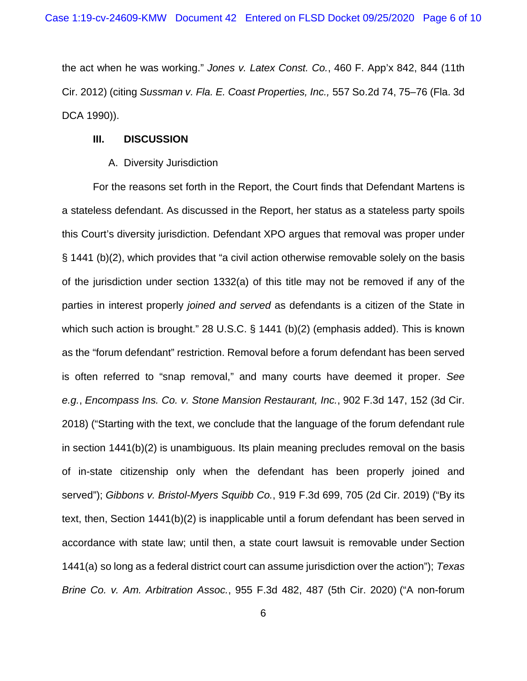the act when he was working." *Jones v. Latex Const. Co.*, 460 F. App'x 842, 844 (11th Cir. 2012) (citing *Sussman v. Fla. E. Coast Properties, Inc.,* 557 So.2d 74, 75–76 (Fla. 3d DCA 1990)).

### **III. DISCUSSION**

#### A. Diversity Jurisdiction

For the reasons set forth in the Report, the Court finds that Defendant Martens is a stateless defendant. As discussed in the Report, her status as a stateless party spoils this Court's diversity jurisdiction. Defendant XPO argues that removal was proper under § 1441 (b)(2), which provides that "a civil action otherwise removable solely on the basis of the jurisdiction under section 1332(a) of this title may not be removed if any of the parties in interest properly *joined and served* as defendants is a citizen of the State in which such action is brought." 28 U.S.C. § 1441 (b)(2) (emphasis added). This is known as the "forum defendant" restriction. Removal before a forum defendant has been served is often referred to "snap removal," and many courts have deemed it proper. *See e.g.*, *Encompass Ins. Co. v. Stone Mansion Restaurant, Inc.*, 902 F.3d 147, 152 (3d Cir. 2018) ("Starting with the text, we conclude that the language of the forum defendant rule in section 1441(b)(2) is unambiguous. Its plain meaning precludes removal on the basis of in-state citizenship only when the defendant has been properly joined and served"); *Gibbons v. Bristol-Myers Squibb Co.*, 919 F.3d 699, 705 (2d Cir. 2019) ("By its text, then, Section 1441(b)(2) is inapplicable until a forum defendant has been served in accordance with state law; until then, a state court lawsuit is removable under Section 1441(a) so long as a federal district court can assume jurisdiction over the action"); *Texas Brine Co. v. Am. Arbitration Assoc.*, 955 F.3d 482, 487 (5th Cir. 2020) ("A non-forum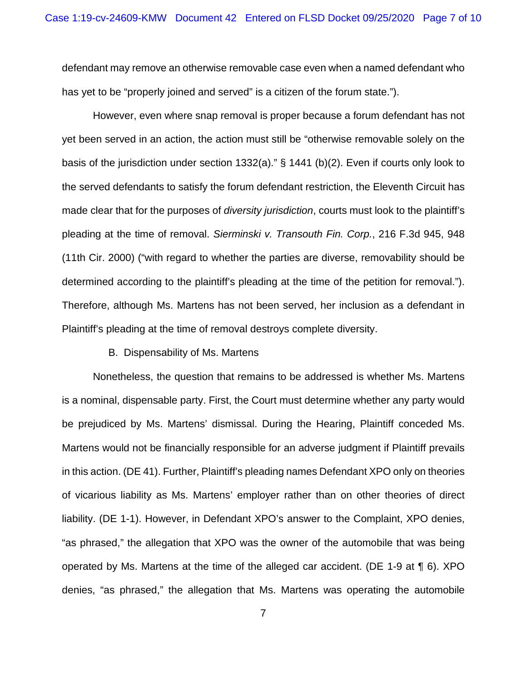defendant may remove an otherwise removable case even when a named defendant who has yet to be "properly joined and served" is a citizen of the forum state.").

However, even where snap removal is proper because a forum defendant has not yet been served in an action, the action must still be "otherwise removable solely on the basis of the jurisdiction under section 1332(a)." § 1441 (b)(2). Even if courts only look to the served defendants to satisfy the forum defendant restriction, the Eleventh Circuit has made clear that for the purposes of *diversity jurisdiction*, courts must look to the plaintiff's pleading at the time of removal. *Sierminski v. Transouth Fin. Corp.*, 216 F.3d 945, 948 (11th Cir. 2000) ("with regard to whether the parties are diverse, removability should be determined according to the plaintiff's pleading at the time of the petition for removal."). Therefore, although Ms. Martens has not been served, her inclusion as a defendant in Plaintiff's pleading at the time of removal destroys complete diversity.

#### B. Dispensability of Ms. Martens

Nonetheless, the question that remains to be addressed is whether Ms. Martens is a nominal, dispensable party. First, the Court must determine whether any party would be prejudiced by Ms. Martens' dismissal. During the Hearing, Plaintiff conceded Ms. Martens would not be financially responsible for an adverse judgment if Plaintiff prevails in this action. (DE 41). Further, Plaintiff's pleading names Defendant XPO only on theories of vicarious liability as Ms. Martens' employer rather than on other theories of direct liability. (DE 1-1). However, in Defendant XPO's answer to the Complaint, XPO denies, "as phrased," the allegation that XPO was the owner of the automobile that was being operated by Ms. Martens at the time of the alleged car accident. (DE 1-9 at ¶ 6). XPO denies, "as phrased," the allegation that Ms. Martens was operating the automobile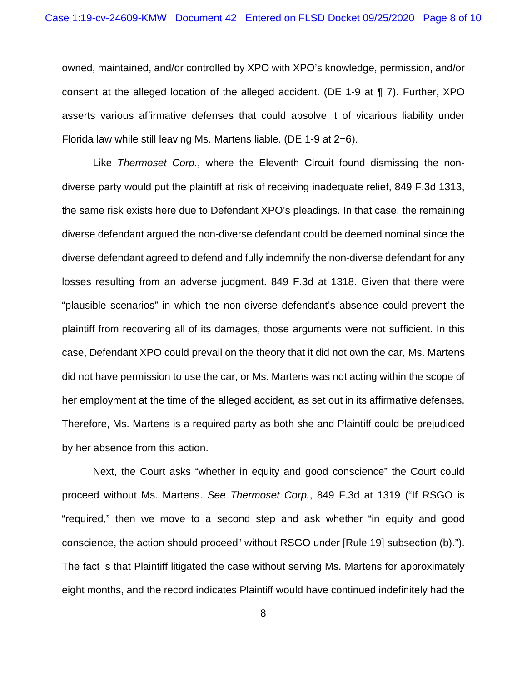owned, maintained, and/or controlled by XPO with XPO's knowledge, permission, and/or consent at the alleged location of the alleged accident. (DE 1-9 at ¶ 7). Further, XPO asserts various affirmative defenses that could absolve it of vicarious liability under Florida law while still leaving Ms. Martens liable. (DE 1-9 at 2−6).

Like *Thermoset Corp.*, where the Eleventh Circuit found dismissing the nondiverse party would put the plaintiff at risk of receiving inadequate relief, 849 F.3d 1313, the same risk exists here due to Defendant XPO's pleadings. In that case, the remaining diverse defendant argued the non-diverse defendant could be deemed nominal since the diverse defendant agreed to defend and fully indemnify the non-diverse defendant for any losses resulting from an adverse judgment. 849 F.3d at 1318. Given that there were "plausible scenarios" in which the non-diverse defendant's absence could prevent the plaintiff from recovering all of its damages, those arguments were not sufficient. In this case, Defendant XPO could prevail on the theory that it did not own the car, Ms. Martens did not have permission to use the car, or Ms. Martens was not acting within the scope of her employment at the time of the alleged accident, as set out in its affirmative defenses. Therefore, Ms. Martens is a required party as both she and Plaintiff could be prejudiced by her absence from this action.

Next, the Court asks "whether in equity and good conscience" the Court could proceed without Ms. Martens. *See Thermoset Corp.*, 849 F.3d at 1319 ("If RSGO is "required," then we move to a second step and ask whether "in equity and good conscience, the action should proceed" without RSGO under [Rule 19] subsection (b)."). The fact is that Plaintiff litigated the case without serving Ms. Martens for approximately eight months, and the record indicates Plaintiff would have continued indefinitely had the

8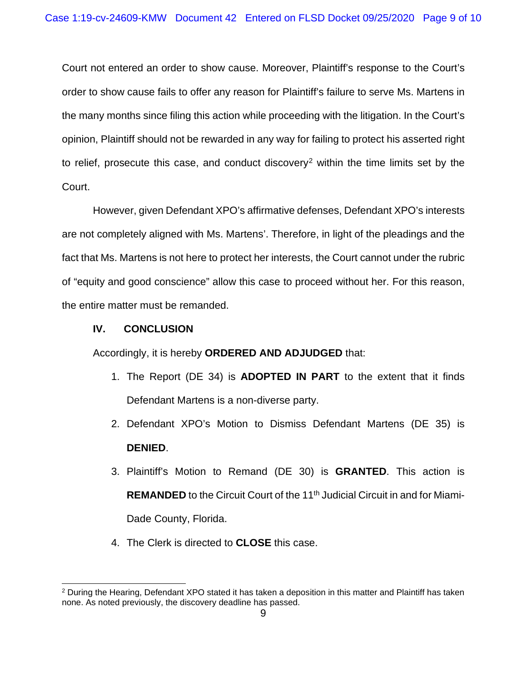Court not entered an order to show cause. Moreover, Plaintiff's response to the Court's order to show cause fails to offer any reason for Plaintiff's failure to serve Ms. Martens in the many months since filing this action while proceeding with the litigation. In the Court's opinion, Plaintiff should not be rewarded in any way for failing to protect his asserted right to relief, prosecute this case, and conduct discovery<sup>[2](#page-8-0)</sup> within the time limits set by the Court.

However, given Defendant XPO's affirmative defenses, Defendant XPO's interests are not completely aligned with Ms. Martens'. Therefore, in light of the pleadings and the fact that Ms. Martens is not here to protect her interests, the Court cannot under the rubric of "equity and good conscience" allow this case to proceed without her. For this reason, the entire matter must be remanded.

## **IV. CONCLUSION**

Accordingly, it is hereby **ORDERED AND ADJUDGED** that:

- 1. The Report (DE 34) is **ADOPTED IN PART** to the extent that it finds Defendant Martens is a non-diverse party.
- 2. Defendant XPO's Motion to Dismiss Defendant Martens (DE 35) is **DENIED**.
- 3. Plaintiff's Motion to Remand (DE 30) is **GRANTED**. This action is **REMANDED** to the Circuit Court of the 11<sup>th</sup> Judicial Circuit in and for Miami-Dade County, Florida.
- 4. The Clerk is directed to **CLOSE** this case.

<span id="page-8-0"></span><sup>2</sup> During the Hearing, Defendant XPO stated it has taken a deposition in this matter and Plaintiff has taken none. As noted previously, the discovery deadline has passed.